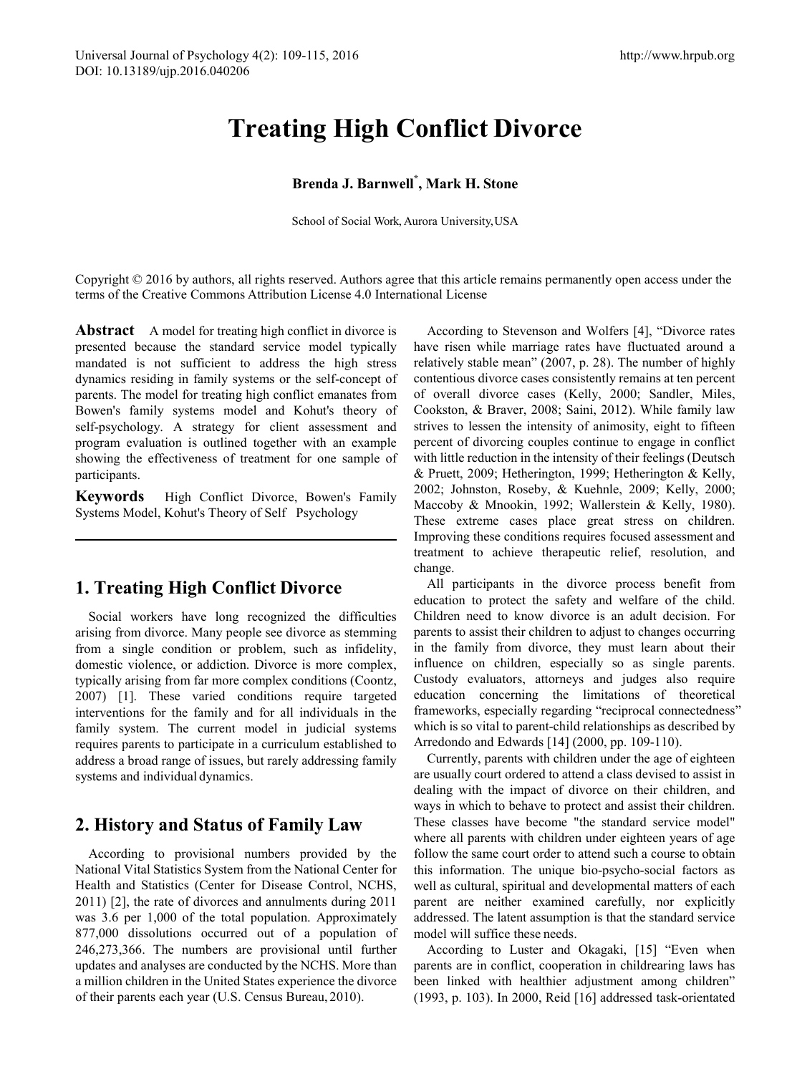# **Treating High Conflict Divorce**

### **Brenda J. Barnwell\* , Mark H. Stone**

School of Social Work, Aurora University,USA

Copyright © 2016 by authors, all rights reserved. Authors agree that this article remains permanently open access under the terms of the Creative Commons Attribution License 4.0 International License

**Abstract** A model for treating high conflict in divorce is presented because the standard service model typically mandated is not sufficient to address the high stress dynamics residing in family systems or the self-concept of parents. The model for treating high conflict emanates from Bowen's family systems model and Kohut's theory of self-psychology. A strategy for client assessment and program evaluation is outlined together with an example showing the effectiveness of treatment for one sample of participants.

**Keywords** High Conflict Divorce, Bowen's Family Systems Model, Kohut's Theory of Self Psychology

# **1. Treating High Conflict Divorce**

Social workers have long recognized the difficulties arising from divorce. Many people see divorce as stemming from a single condition or problem, such as infidelity, domestic violence, or addiction. Divorce is more complex, typically arising from far more complex conditions (Coontz, 2007) [1]. These varied conditions require targeted interventions for the family and for all individuals in the family system. The current model in judicial systems requires parents to participate in a curriculum established to address a broad range of issues, but rarely addressing family systems and individual dynamics.

## **2. History and Status of Family Law**

According to provisional numbers provided by the National Vital Statistics System from the National Center for Health and Statistics (Center for Disease Control, NCHS, 2011) [2], the rate of divorces and annulments during 2011 was 3.6 per 1,000 of the total population. Approximately 877,000 dissolutions occurred out of a population of 246,273,366. The numbers are provisional until further updates and analyses are conducted by the NCHS. More than a million children in the United States experience the divorce of their parents each year (U.S. Census Bureau, 2010).

According to Stevenson and Wolfers [4], "Divorce rates have risen while marriage rates have fluctuated around a relatively stable mean" (2007, p. 28). The number of highly contentious divorce cases consistently remains at ten percent of overall divorce cases (Kelly, 2000; Sandler, Miles, Cookston, & Braver, 2008; Saini, 2012). While family law strives to lessen the intensity of animosity, eight to fifteen percent of divorcing couples continue to engage in conflict with little reduction in the intensity of their feelings (Deutsch & Pruett, 2009; Hetherington, 1999; Hetherington & Kelly, 2002; Johnston, Roseby, & Kuehnle, 2009; Kelly, 2000; Maccoby & Mnookin, 1992; Wallerstein & Kelly, 1980). These extreme cases place great stress on children. Improving these conditions requires focused assessment and treatment to achieve therapeutic relief, resolution, and change.

All participants in the divorce process benefit from education to protect the safety and welfare of the child. Children need to know divorce is an adult decision. For parents to assist their children to adjust to changes occurring in the family from divorce, they must learn about their influence on children, especially so as single parents. Custody evaluators, attorneys and judges also require education concerning the limitations of theoretical frameworks, especially regarding "reciprocal connectedness" which is so vital to parent-child relationships as described by Arredondo and Edwards [14] (2000, pp. 109-110).

Currently, parents with children under the age of eighteen are usually court ordered to attend a class devised to assist in dealing with the impact of divorce on their children, and ways in which to behave to protect and assist their children. These classes have become "the standard service model" where all parents with children under eighteen years of age follow the same court order to attend such a course to obtain this information. The unique bio-psycho-social factors as well as cultural, spiritual and developmental matters of each parent are neither examined carefully, nor explicitly addressed. The latent assumption is that the standard service model will suffice these needs.

According to Luster and Okagaki, [15] "Even when parents are in conflict, cooperation in childrearing laws has been linked with healthier adjustment among children" (1993, p. 103). In 2000, Reid [16] addressed task-orientated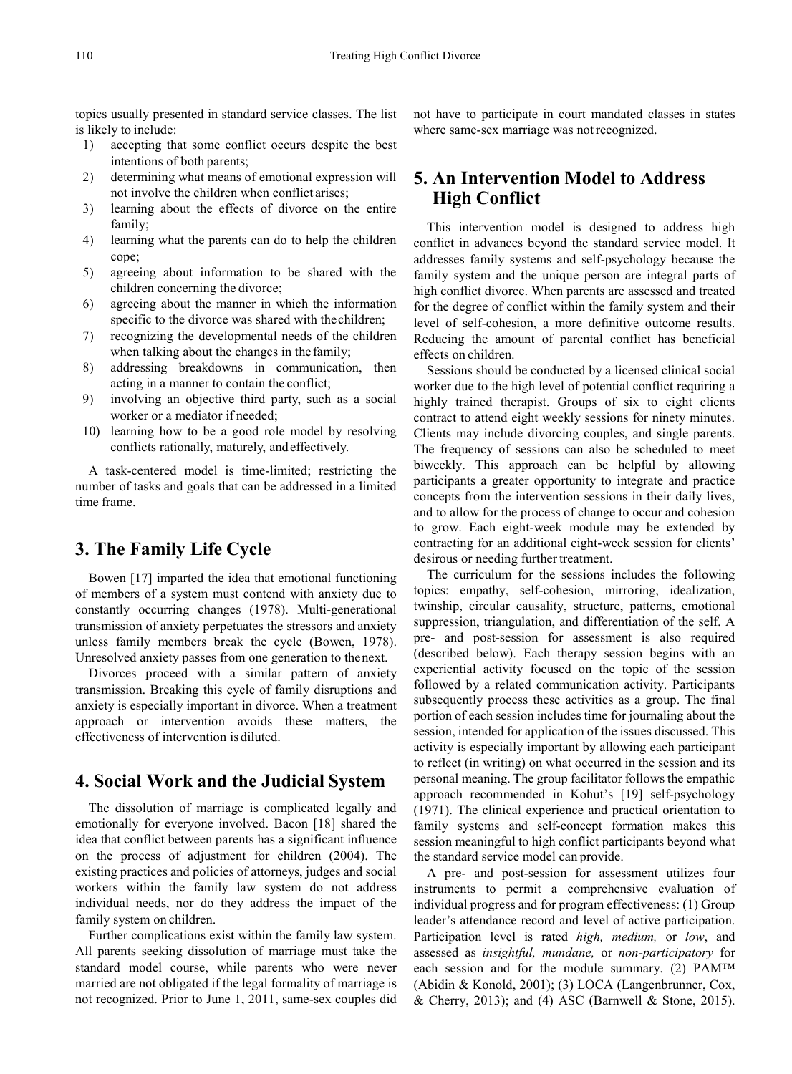topics usually presented in standard service classes. The list is likely to include:

- 1) accepting that some conflict occurs despite the best intentions of both parents;
- 2) determining what means of emotional expression will not involve the children when conflict arises;
- 3) learning about the effects of divorce on the entire family;
- 4) learning what the parents can do to help the children cope;
- 5) agreeing about information to be shared with the children concerning the divorce;
- 6) agreeing about the manner in which the information specific to the divorce was shared with thechildren;
- 7) recognizing the developmental needs of the children when talking about the changes in the family;
- 8) addressing breakdowns in communication, then acting in a manner to contain the conflict;
- 9) involving an objective third party, such as a social worker or a mediator if needed;
- 10) learning how to be a good role model by resolving conflicts rationally, maturely, andeffectively.

A task-centered model is time-limited; restricting the number of tasks and goals that can be addressed in a limited time frame.

# **3. The Family Life Cycle**

Bowen [17] imparted the idea that emotional functioning of members of a system must contend with anxiety due to constantly occurring changes (1978). Multi-generational transmission of anxiety perpetuates the stressors and anxiety unless family members break the cycle (Bowen, 1978). Unresolved anxiety passes from one generation to thenext.

Divorces proceed with a similar pattern of anxiety transmission. Breaking this cycle of family disruptions and anxiety is especially important in divorce. When a treatment approach or intervention avoids these matters, the effectiveness of intervention is diluted.

## **4. Social Work and the Judicial System**

The dissolution of marriage is complicated legally and emotionally for everyone involved. Bacon [18] shared the idea that conflict between parents has a significant influence on the process of adjustment for children (2004). The existing practices and policies of attorneys, judges and social workers within the family law system do not address individual needs, nor do they address the impact of the family system on children.

Further complications exist within the family law system. All parents seeking dissolution of marriage must take the standard model course, while parents who were never married are not obligated if the legal formality of marriage is not recognized. Prior to June 1, 2011, same-sex couples did not have to participate in court mandated classes in states where same-sex marriage was notrecognized.

# **5. An Intervention Model to Address High Conflict**

This intervention model is designed to address high conflict in advances beyond the standard service model. It addresses family systems and self-psychology because the family system and the unique person are integral parts of high conflict divorce. When parents are assessed and treated for the degree of conflict within the family system and their level of self-cohesion, a more definitive outcome results. Reducing the amount of parental conflict has beneficial effects on children.

Sessions should be conducted by a licensed clinical social worker due to the high level of potential conflict requiring a highly trained therapist. Groups of six to eight clients contract to attend eight weekly sessions for ninety minutes. Clients may include divorcing couples, and single parents. The frequency of sessions can also be scheduled to meet biweekly. This approach can be helpful by allowing participants a greater opportunity to integrate and practice concepts from the intervention sessions in their daily lives, and to allow for the process of change to occur and cohesion to grow. Each eight-week module may be extended by contracting for an additional eight-week session for clients' desirous or needing further treatment.

The curriculum for the sessions includes the following topics: empathy, self-cohesion, mirroring, idealization, twinship, circular causality, structure, patterns, emotional suppression, triangulation, and differentiation of the self. A pre- and post-session for assessment is also required (described below). Each therapy session begins with an experiential activity focused on the topic of the session followed by a related communication activity. Participants subsequently process these activities as a group. The final portion of each session includes time for journaling about the session, intended for application of the issues discussed. This activity is especially important by allowing each participant to reflect (in writing) on what occurred in the session and its personal meaning. The group facilitator follows the empathic approach recommended in Kohut's [19] self-psychology (1971). The clinical experience and practical orientation to family systems and self-concept formation makes this session meaningful to high conflict participants beyond what the standard service model can provide.

A pre- and post-session for assessment utilizes four instruments to permit a comprehensive evaluation of individual progress and for program effectiveness: (1) Group leader's attendance record and level of active participation. Participation level is rated *high, medium,* or *low*, and assessed as *insightful, mundane,* or *non-participatory* for each session and for the module summary. (2) PAM™ (Abidin & Konold, 2001); (3) LOCA (Langenbrunner, Cox, & Cherry, 2013); and (4) ASC (Barnwell & Stone, 2015).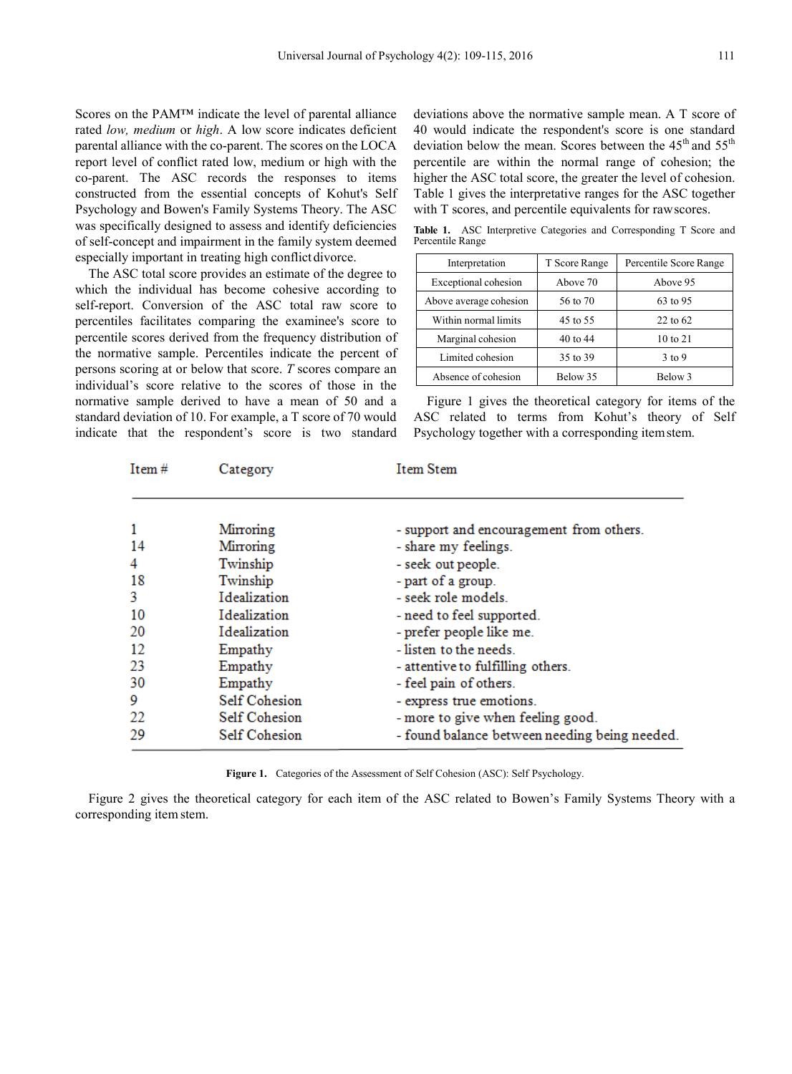Scores on the PAM™ indicate the level of parental alliance rated *low, medium* or *high*. A low score indicates deficient parental alliance with the co-parent. The scores on the LOCA report level of conflict rated low, medium or high with the co-parent. The ASC records the responses to items constructed from the essential concepts of Kohut's Self Psychology and Bowen's Family Systems Theory. The ASC was specifically designed to assess and identify deficiencies of self-concept and impairment in the family system deemed especially important in treating high conflictdivorce.

The ASC total score provides an estimate of the degree to which the individual has become cohesive according to self-report. Conversion of the ASC total raw score to percentiles facilitates comparing the examinee's score to percentile scores derived from the frequency distribution of the normative sample. Percentiles indicate the percent of persons scoring at or below that score. *T* scores compare an individual's score relative to the scores of those in the normative sample derived to have a mean of 50 and a standard deviation of 10. For example, a T score of 70 would indicate that the respondent's score is two standard

deviations above the normative sample mean. A T score of 40 would indicate the respondent's score is one standard deviation below the mean. Scores between the  $45<sup>th</sup>$  and  $55<sup>th</sup>$ percentile are within the normal range of cohesion; the higher the ASC total score, the greater the level of cohesion. Table 1 gives the interpretative ranges for the ASC together with T scores, and percentile equivalents for raw scores.

**Table 1.** ASC Interpretive Categories and Corresponding T Score and Percentile Range

| Interpretation         | T Score Range | Percentile Score Range |  |
|------------------------|---------------|------------------------|--|
| Exceptional cohesion   | Above 70      | Above 95               |  |
| Above average cohesion | 56 to 70      | 63 to 95               |  |
| Within normal limits   | 45 to 55      | 22 to 62               |  |
| Marginal cohesion      | 40 to 44      | 10 to 21               |  |
| Limited cohesion       | 35 to 39      | $3$ to 9               |  |
| Absence of cohesion    | Below 35      | Below 3                |  |

Figure 1 gives the theoretical category for items of the ASC related to terms from Kohut's theory of Self Psychology together with a corresponding itemstem.

| Item $#$ | Category             | Item Stem                                     |  |
|----------|----------------------|-----------------------------------------------|--|
|          |                      |                                               |  |
| 1        | Mirroring            | - support and encouragement from others.      |  |
| 14       | Mirroring            | - share my feelings.                          |  |
| 4        | Twinship             | - seek out people.                            |  |
| 18       | Twinship             | - part of a group.                            |  |
| 3        | Idealization         | - seek role models.                           |  |
| 10       | Idealization         | - need to feel supported.                     |  |
| 20       | Idealization         | - prefer people like me.                      |  |
| 12       | Empathy              | - listen to the needs                         |  |
| 23       | Empathy              | - attentive to fulfilling others.             |  |
| 30       | Empathy              | - feel pain of others.                        |  |
| 9        | <b>Self Cohesion</b> | - express true emotions.                      |  |
| 22       | <b>Self Cohesion</b> | - more to give when feeling good.             |  |
| 29       | <b>Self Cohesion</b> | - found balance between needing being needed. |  |

**Figure 1.** Categories of the Assessment of Self Cohesion (ASC): Self Psychology.

Figure 2 gives the theoretical category for each item of the ASC related to Bowen's Family Systems Theory with a corresponding item stem.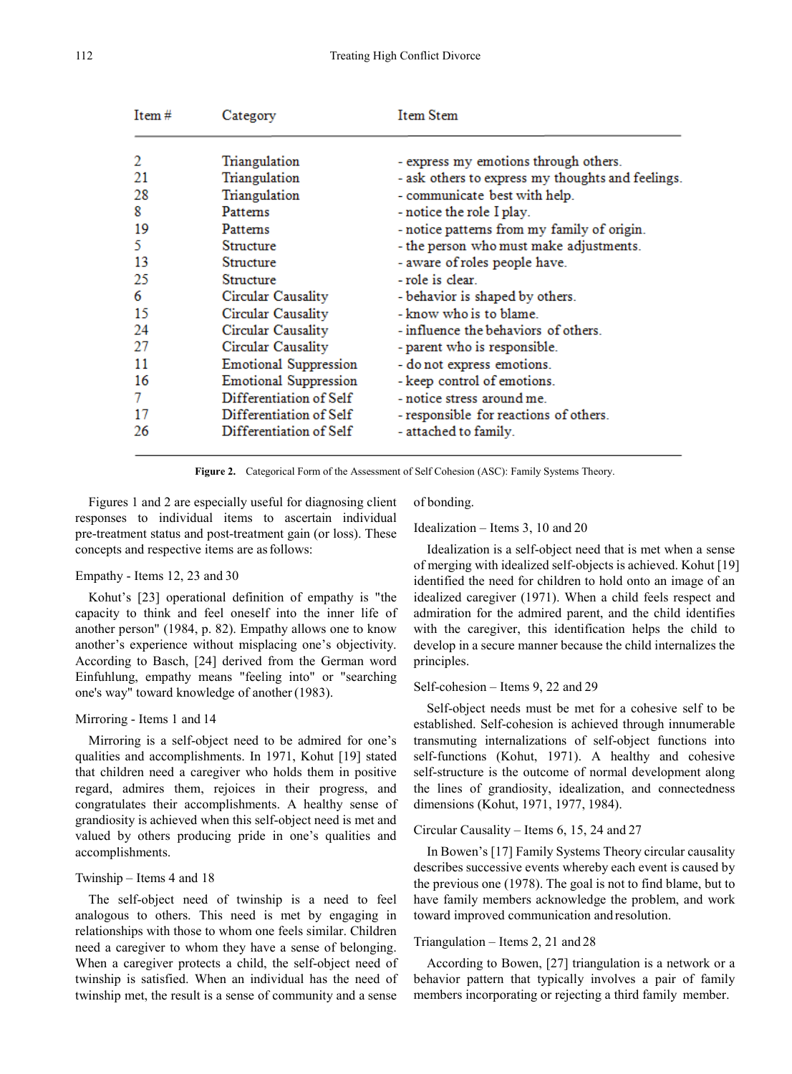| Item $#$ | Category                     | <b>Item Stem</b>                                  |  |
|----------|------------------------------|---------------------------------------------------|--|
| 2        | Triangulation                | - express my emotions through others.             |  |
| 21       | Triangulation                | - ask others to express my thoughts and feelings. |  |
| 28       | Triangulation                | - communicate best with help.                     |  |
| 8        | Patterns                     | - notice the role I play.                         |  |
| 19       | Patterns                     | - notice patterns from my family of origin.       |  |
| 5        | Structure                    | - the person who must make adjustments.           |  |
| 13       | Structure                    | - aware of roles people have.                     |  |
| 25       | <b>Structure</b>             | - role is clear.                                  |  |
| 6        | Circular Causality           | - behavior is shaped by others.                   |  |
| 15       | Circular Causality           | - know who is to blame.                           |  |
| 24       | Circular Causality           | - influence the behaviors of others.              |  |
| 27       | Circular Causality           | - parent who is responsible.                      |  |
| 11       | <b>Emotional Suppression</b> | - do not express emotions.                        |  |
| 16       | <b>Emotional Suppression</b> | - keep control of emotions.                       |  |
| 7        | Differentiation of Self      | - notice stress around me.                        |  |
| 17       | Differentiation of Self      | - responsible for reactions of others.            |  |
| 26       | Differentiation of Self      | - attached to family.                             |  |

**Figure 2.** Categorical Form of the Assessment of Self Cohesion (ASC): Family Systems Theory.

Figures 1 and 2 are especially useful for diagnosing client responses to individual items to ascertain individual pre-treatment status and post-treatment gain (or loss). These concepts and respective items are asfollows:

#### Empathy - Items 12, 23 and 30

Kohut's [23] operational definition of empathy is "the capacity to think and feel oneself into the inner life of another person" (1984, p. 82). Empathy allows one to know another's experience without misplacing one's objectivity. According to Basch, [24] derived from the German word Einfuhlung, empathy means "feeling into" or "searching one's way" toward knowledge of another(1983).

#### Mirroring - Items 1 and 14

Mirroring is a self-object need to be admired for one's qualities and accomplishments. In 1971, Kohut [19] stated that children need a caregiver who holds them in positive regard, admires them, rejoices in their progress, and congratulates their accomplishments. A healthy sense of grandiosity is achieved when this self-object need is met and valued by others producing pride in one's qualities and accomplishments.

#### Twinship – Items 4 and 18

The self-object need of twinship is a need to feel analogous to others. This need is met by engaging in relationships with those to whom one feels similar. Children need a caregiver to whom they have a sense of belonging. When a caregiver protects a child, the self-object need of twinship is satisfied. When an individual has the need of twinship met, the result is a sense of community and a sense of bonding.

#### Idealization – Items 3, 10 and 20

Idealization is a self-object need that is met when a sense of merging with idealized self-objects is achieved. Kohut [19] identified the need for children to hold onto an image of an idealized caregiver (1971). When a child feels respect and admiration for the admired parent, and the child identifies with the caregiver, this identification helps the child to develop in a secure manner because the child internalizes the principles.

#### Self-cohesion – Items 9, 22 and 29

Self-object needs must be met for a cohesive self to be established. Self-cohesion is achieved through innumerable transmuting internalizations of self-object functions into self-functions (Kohut, 1971). A healthy and cohesive self-structure is the outcome of normal development along the lines of grandiosity, idealization, and connectedness dimensions (Kohut, 1971, 1977, 1984).

#### Circular Causality – Items 6, 15, 24 and 27

In Bowen's [17] Family Systems Theory circular causality describes successive events whereby each event is caused by the previous one (1978). The goal is not to find blame, but to have family members acknowledge the problem, and work toward improved communication and resolution.

#### Triangulation – Items 2, 21 and 28

According to Bowen, [27] triangulation is a network or a behavior pattern that typically involves a pair of family members incorporating or rejecting a third family member.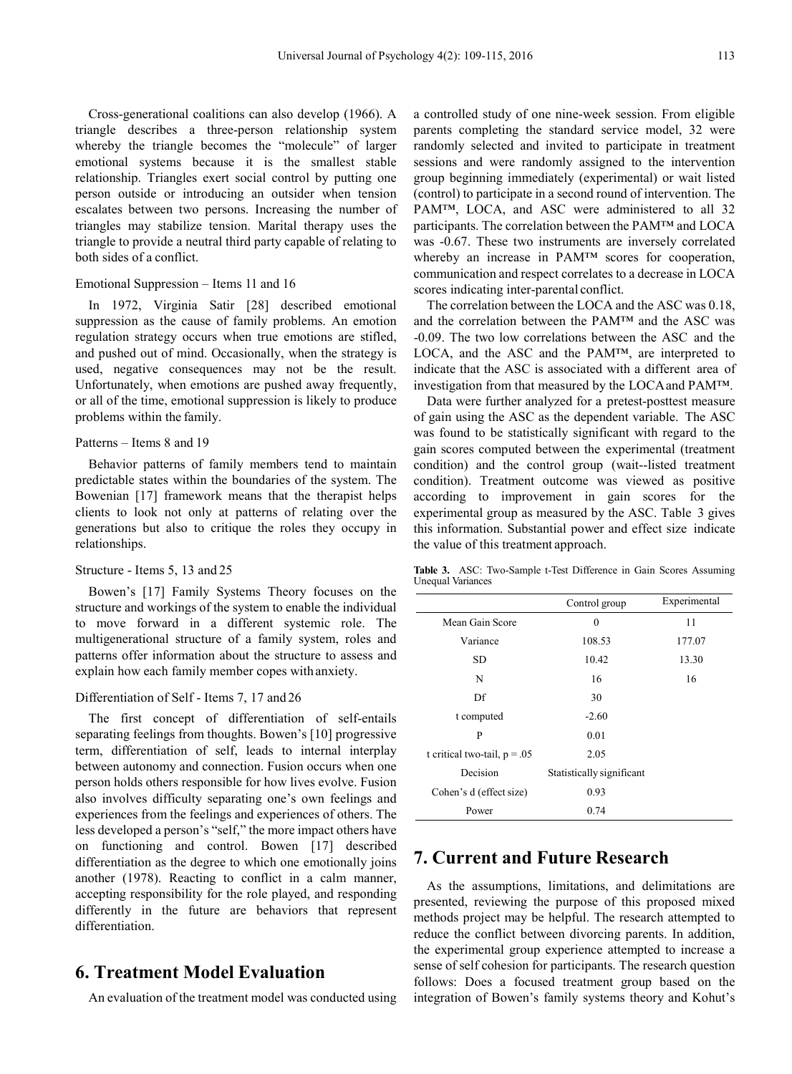Cross-generational coalitions can also develop (1966). A triangle describes a three-person relationship system whereby the triangle becomes the "molecule" of larger emotional systems because it is the smallest stable relationship. Triangles exert social control by putting one person outside or introducing an outsider when tension escalates between two persons. Increasing the number of triangles may stabilize tension. Marital therapy uses the triangle to provide a neutral third party capable of relating to both sides of a conflict.

#### Emotional Suppression – Items 11 and 16

In 1972, Virginia Satir [28] described emotional suppression as the cause of family problems. An emotion regulation strategy occurs when true emotions are stifled, and pushed out of mind. Occasionally, when the strategy is used, negative consequences may not be the result. Unfortunately, when emotions are pushed away frequently, or all of the time, emotional suppression is likely to produce problems within the family.

#### Patterns – Items 8 and 19

Behavior patterns of family members tend to maintain predictable states within the boundaries of the system. The Bowenian [17] framework means that the therapist helps clients to look not only at patterns of relating over the generations but also to critique the roles they occupy in relationships.

#### Structure - Items 5, 13 and 25

Bowen's [17] Family Systems Theory focuses on the structure and workings of the system to enable the individual to move forward in a different systemic role. The multigenerational structure of a family system, roles and patterns offer information about the structure to assess and explain how each family member copes with anxiety.

#### Differentiation of Self - Items 7, 17 and 26

The first concept of differentiation of self-entails separating feelings from thoughts. Bowen's [10] progressive term, differentiation of self, leads to internal interplay between autonomy and connection. Fusion occurs when one person holds others responsible for how lives evolve. Fusion also involves difficulty separating one's own feelings and experiences from the feelings and experiences of others. The less developed a person's "self," the more impact others have on functioning and control. Bowen [17] described differentiation as the degree to which one emotionally joins another (1978). Reacting to conflict in a calm manner, accepting responsibility for the role played, and responding differently in the future are behaviors that represent differentiation.

# **6. Treatment Model Evaluation**

An evaluation of the treatment model was conducted using

a controlled study of one nine-week session. From eligible parents completing the standard service model, 32 were randomly selected and invited to participate in treatment sessions and were randomly assigned to the intervention group beginning immediately (experimental) or wait listed (control) to participate in a second round of intervention. The PAM<sup>™</sup>, LOCA, and ASC were administered to all 32 participants. The correlation between the PAM™ and LOCA was -0.67. These two instruments are inversely correlated whereby an increase in PAM™ scores for cooperation, communication and respect correlates to a decrease in LOCA scores indicating inter-parental conflict.

The correlation between the LOCA and the ASC was 0.18, and the correlation between the PAM™ and the ASC was -0.09. The two low correlations between the ASC and the LOCA, and the ASC and the PAM™, are interpreted to indicate that the ASC is associated with a different area of investigation from that measured by the LOCAand PAM™.

Data were further analyzed for a pretest-posttest measure of gain using the ASC as the dependent variable. The ASC was found to be statistically significant with regard to the gain scores computed between the experimental (treatment condition) and the control group (wait--listed treatment condition). Treatment outcome was viewed as positive according to improvement in gain scores for the experimental group as measured by the ASC. Table 3 gives this information. Substantial power and effect size indicate the value of this treatment approach.

**Table 3.** ASC: Two-Sample t-Test Difference in Gain Scores Assuming Unequal Variances

|                                | Control group             | Experimental |
|--------------------------------|---------------------------|--------------|
| Mean Gain Score                | $\boldsymbol{0}$          | 11           |
| Variance                       | 108.53                    | 177.07       |
| <b>SD</b>                      | 10.42                     | 13.30        |
| N                              | 16                        | 16           |
| Df                             | 30                        |              |
| t computed                     | $-2.60$                   |              |
| P                              | 0.01                      |              |
| t critical two-tail, $p = .05$ | 2.05                      |              |
| Decision                       | Statistically significant |              |
| Cohen's d (effect size)        | 0.93                      |              |
| Power                          | 0.74                      |              |

# **7. Current and Future Research**

As the assumptions, limitations, and delimitations are presented, reviewing the purpose of this proposed mixed methods project may be helpful. The research attempted to reduce the conflict between divorcing parents. In addition, the experimental group experience attempted to increase a sense of self cohesion for participants. The research question follows: Does a focused treatment group based on the integration of Bowen's family systems theory and Kohut's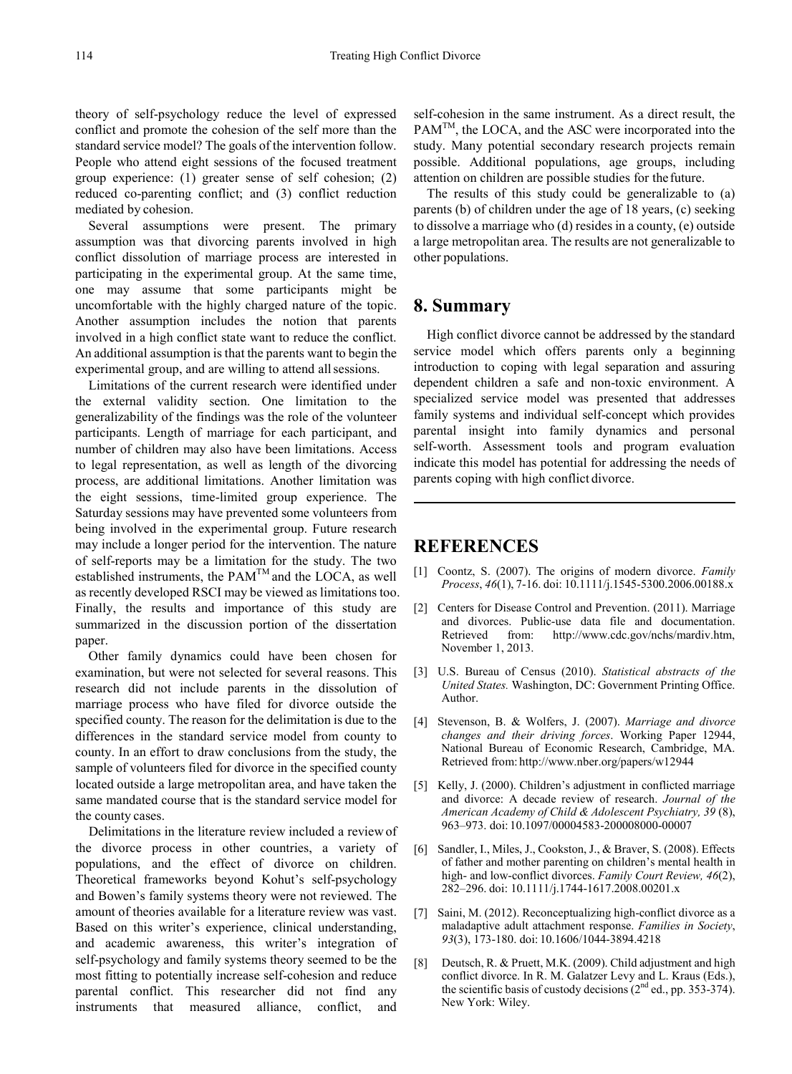theory of self-psychology reduce the level of expressed conflict and promote the cohesion of the self more than the standard service model? The goals of the intervention follow. People who attend eight sessions of the focused treatment group experience: (1) greater sense of self cohesion; (2) reduced co-parenting conflict; and (3) conflict reduction mediated by cohesion.

Several assumptions were present. The primary assumption was that divorcing parents involved in high conflict dissolution of marriage process are interested in participating in the experimental group. At the same time, one may assume that some participants might be uncomfortable with the highly charged nature of the topic. Another assumption includes the notion that parents involved in a high conflict state want to reduce the conflict. An additional assumption is that the parents want to begin the experimental group, and are willing to attend allsessions.

Limitations of the current research were identified under the external validity section. One limitation to the generalizability of the findings was the role of the volunteer participants. Length of marriage for each participant, and number of children may also have been limitations. Access to legal representation, as well as length of the divorcing process, are additional limitations. Another limitation was the eight sessions, time-limited group experience. The Saturday sessions may have prevented some volunteers from being involved in the experimental group. Future research may include a longer period for the intervention. The nature of self-reports may be a limitation for the study. The two established instruments, the  $PAM^{TM}$  and the LOCA, as well as recently developed RSCI may be viewed as limitations too. Finally, the results and importance of this study are summarized in the discussion portion of the dissertation paper.

Other family dynamics could have been chosen for examination, but were not selected for several reasons. This research did not include parents in the dissolution of marriage process who have filed for divorce outside the specified county. The reason for the delimitation is due to the differences in the standard service model from county to county. In an effort to draw conclusions from the study, the sample of volunteers filed for divorce in the specified county located outside a large metropolitan area, and have taken the same mandated course that is the standard service model for the county cases.

Delimitations in the literature review included a review of the divorce process in other countries, a variety of populations, and the effect of divorce on children. Theoretical frameworks beyond Kohut's self-psychology and Bowen's family systems theory were not reviewed. The amount of theories available for a literature review was vast. Based on this writer's experience, clinical understanding, and academic awareness, this writer's integration of self-psychology and family systems theory seemed to be the most fitting to potentially increase self-cohesion and reduce parental conflict. This researcher did not find any instruments that measured alliance, conflict, and

self-cohesion in the same instrument. As a direct result, the PAM<sup>TM</sup>, the LOCA, and the ASC were incorporated into the study. Many potential secondary research projects remain possible. Additional populations, age groups, including attention on children are possible studies for thefuture.

The results of this study could be generalizable to (a) parents (b) of children under the age of 18 years, (c) seeking to dissolve a marriage who (d) resides in a county, (e) outside a large metropolitan area. The results are not generalizable to other populations.

## **8. Summary**

High conflict divorce cannot be addressed by the standard service model which offers parents only a beginning introduction to coping with legal separation and assuring dependent children a safe and non-toxic environment. A specialized service model was presented that addresses family systems and individual self-concept which provides parental insight into family dynamics and personal self-worth. Assessment tools and program evaluation indicate this model has potential for addressing the needs of parents coping with high conflict divorce.

### **REFERENCES**

- [1] Coontz, S. (2007). The origins of modern divorce. *Family Process*, *46*(1), 7-16. doi: 10.1111/j.1545-5300.2006.00188.x
- [2] Centers for Disease Control and Prevention. (2011). Marriage and divorces. Public-use data file and documentation. Retrieved from: http://www.cdc.gov/nchs/mardiv.htm, November 1, 2013.
- [3] U.S. Bureau of Census (2010). *Statistical abstracts of the United States.* Washington, DC: Government Printing Office. Author.
- [4] Stevenson, B. & Wolfers, J. (2007). *Marriage and divorce changes and their driving forces*. Working Paper 12944, National Bureau of Economic Research, Cambridge, MA. Retrieved from: http://www.nber.org/papers/w12944
- [5] Kelly, J. (2000). Children's adjustment in conflicted marriage and divorce: A decade review of research. *Journal of the American Academy of Child & Adolescent Psychiatry, 39* (8), 963–973. doi: 10.1097/00004583-200008000-00007
- [6] Sandler, I., Miles, J., Cookston, J., & Braver, S. (2008). Effects of father and mother parenting on children's mental health in high- and low-conflict divorces. *Family Court Review, 46*(2), 282–296. doi: 10.1111/j.1744-1617.2008.00201.x
- [7] Saini, M. (2012). Reconceptualizing high-conflict divorce as a maladaptive adult attachment response. *Families in Society*, *93*(3), 173-180. doi: 10.1606/1044-3894.4218
- [8] Deutsch, R. & Pruett, M.K. (2009). Child adjustment and high conflict divorce. In R. M. Galatzer Levy and L. Kraus (Eds.), the scientific basis of custody decisions  $(2^{nd}$  ed., pp. 353-374). New York: Wiley.